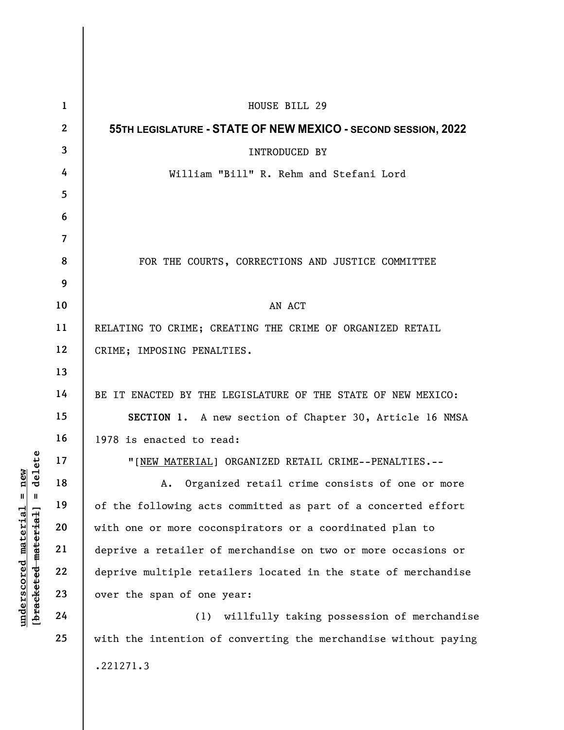| delete<br>new<br>$\mathbf{u}$<br>$\parallel$<br>underscored material<br>[bracketed material] | $\mathbf 1$    | HOUSE BILL 29                                                   |
|----------------------------------------------------------------------------------------------|----------------|-----------------------------------------------------------------|
|                                                                                              | $\mathbf{2}$   | 55TH LEGISLATURE - STATE OF NEW MEXICO - SECOND SESSION, 2022   |
|                                                                                              | $\mathbf{3}$   | <b>INTRODUCED BY</b>                                            |
|                                                                                              | 4              | William "Bill" R. Rehm and Stefani Lord                         |
|                                                                                              | 5              |                                                                 |
|                                                                                              | 6              |                                                                 |
|                                                                                              | $\overline{7}$ |                                                                 |
|                                                                                              | 8              | FOR THE COURTS, CORRECTIONS AND JUSTICE COMMITTEE               |
|                                                                                              | 9              |                                                                 |
|                                                                                              | 10             | AN ACT                                                          |
|                                                                                              | 11             | RELATING TO CRIME; CREATING THE CRIME OF ORGANIZED RETAIL       |
|                                                                                              | 12             | CRIME; IMPOSING PENALTIES.                                      |
|                                                                                              | 13             |                                                                 |
|                                                                                              | 14             | BE IT ENACTED BY THE LEGISLATURE OF THE STATE OF NEW MEXICO:    |
|                                                                                              | 15             | SECTION 1. A new section of Chapter 30, Article 16 NMSA         |
|                                                                                              | 16             | 1978 is enacted to read:                                        |
|                                                                                              | 17             | "[NEW MATERIAL] ORGANIZED RETAIL CRIME--PENALTIES.--            |
|                                                                                              | 18             | Organized retail crime consists of one or more<br>А.            |
|                                                                                              | 19             | of the following acts committed as part of a concerted effort   |
|                                                                                              | 20             | with one or more coconspirators or a coordinated plan to        |
|                                                                                              | 21             | deprive a retailer of merchandise on two or more occasions or   |
|                                                                                              | 22             | deprive multiple retailers located in the state of merchandise  |
|                                                                                              | 23             | over the span of one year:                                      |
|                                                                                              | 24             | willfully taking possession of merchandise<br>(1)               |
|                                                                                              | 25             | with the intention of converting the merchandise without paying |
|                                                                                              |                | .221271.3                                                       |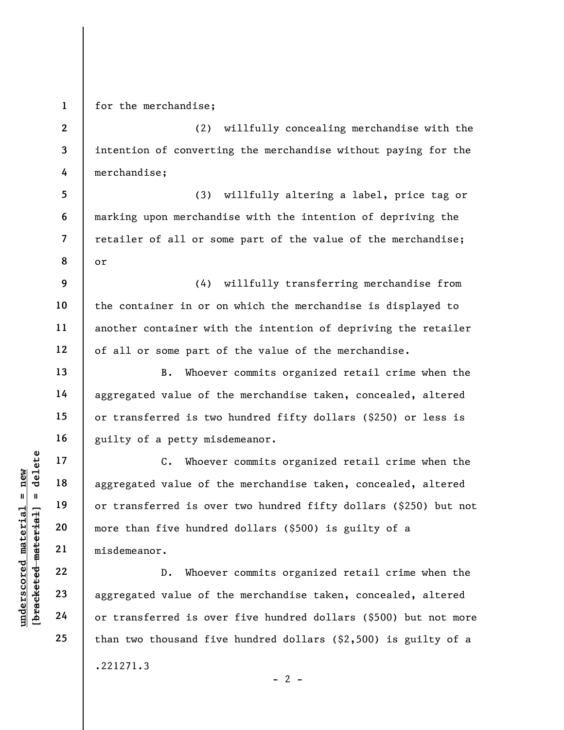1 for the merchandise;

2 3 4 (2) willfully concealing merchandise with the intention of converting the merchandise without paying for the merchandise;

5 6 7 8 (3) willfully altering a label, price tag or marking upon merchandise with the intention of depriving the retailer of all or some part of the value of the merchandise; or

9 10 11 12 (4) willfully transferring merchandise from the container in or on which the merchandise is displayed to another container with the intention of depriving the retailer of all or some part of the value of the merchandise.

B. Whoever commits organized retail crime when the aggregated value of the merchandise taken, concealed, altered or transferred is two hundred fifty dollars (\$250) or less is guilty of a petty misdemeanor.

UN DEN 17<br>
UN DEN 18<br>
UN DEN 19<br>
UN DEN 19<br>
UN DEN 19<br>
UN DEN 19<br>
UN DEN 19<br>
UN DEN 19<br>
UN DEN 19<br>
UN DEN 19<br>
UN DEN 19<br>
UN DEN 19<br>
UN DEN 19<br>
UN DEN 19<br>
UN DEN 19<br>
UN DEN 19<br>
UN DEN 19<br>
UN DEN 19<br>
UN DEN 19<br>
UN DEN 19<br>
UN C. Whoever commits organized retail crime when the aggregated value of the merchandise taken, concealed, altered or transferred is over two hundred fifty dollars (\$250) but not more than five hundred dollars (\$500) is guilty of a misdemeanor.

D. Whoever commits organized retail crime when the aggregated value of the merchandise taken, concealed, altered or transferred is over five hundred dollars (\$500) but not more than two thousand five hundred dollars (\$2,500) is guilty of a .221271.3  $- 2 -$ 

13

14

15

16

17

18

19

20

21

22

23

24

25